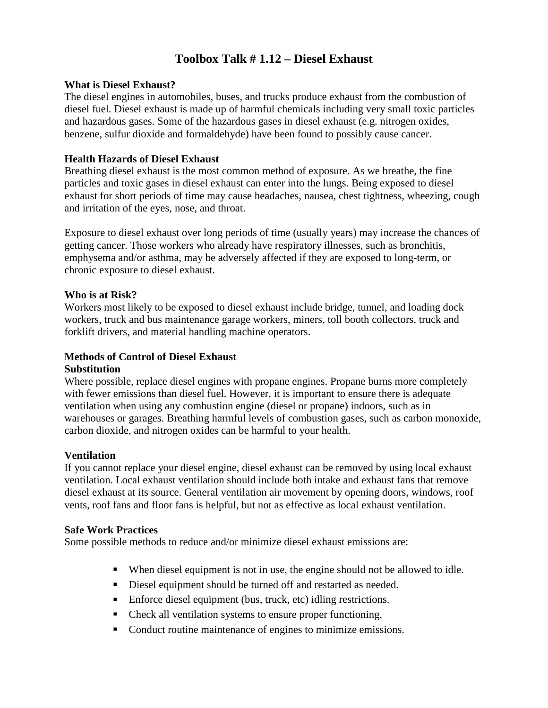## **Toolbox Talk # 1.12 – Diesel Exhaust**

### **What is Diesel Exhaust?**

The diesel engines in automobiles, buses, and trucks produce exhaust from the combustion of diesel fuel. Diesel exhaust is made up of harmful chemicals including very small toxic particles and hazardous gases. Some of the hazardous gases in diesel exhaust (e.g. nitrogen oxides, benzene, sulfur dioxide and formaldehyde) have been found to possibly cause cancer.

### **Health Hazards of Diesel Exhaust**

Breathing diesel exhaust is the most common method of exposure. As we breathe, the fine particles and toxic gases in diesel exhaust can enter into the lungs. Being exposed to diesel exhaust for short periods of time may cause headaches, nausea, chest tightness, wheezing, cough and irritation of the eyes, nose, and throat.

Exposure to diesel exhaust over long periods of time (usually years) may increase the chances of getting cancer. Those workers who already have respiratory illnesses, such as bronchitis, emphysema and/or asthma, may be adversely affected if they are exposed to long-term, or chronic exposure to diesel exhaust.

#### **Who is at Risk?**

Workers most likely to be exposed to diesel exhaust include bridge, tunnel, and loading dock workers, truck and bus maintenance garage workers, miners, toll booth collectors, truck and forklift drivers, and material handling machine operators.

### **Methods of Control of Diesel Exhaust**

#### **Substitution**

Where possible, replace diesel engines with propane engines. Propane burns more completely with fewer emissions than diesel fuel. However, it is important to ensure there is adequate ventilation when using any combustion engine (diesel or propane) indoors, such as in warehouses or garages. Breathing harmful levels of combustion gases, such as carbon monoxide, carbon dioxide, and nitrogen oxides can be harmful to your health.

### **Ventilation**

If you cannot replace your diesel engine, diesel exhaust can be removed by using local exhaust ventilation. Local exhaust ventilation should include both intake and exhaust fans that remove diesel exhaust at its source. General ventilation air movement by opening doors, windows, roof vents, roof fans and floor fans is helpful, but not as effective as local exhaust ventilation.

#### **Safe Work Practices**

Some possible methods to reduce and/or minimize diesel exhaust emissions are:

- When diesel equipment is not in use, the engine should not be allowed to idle.
- Diesel equipment should be turned off and restarted as needed.
- Enforce diesel equipment (bus, truck, etc) idling restrictions.
- Check all ventilation systems to ensure proper functioning.
- Conduct routine maintenance of engines to minimize emissions.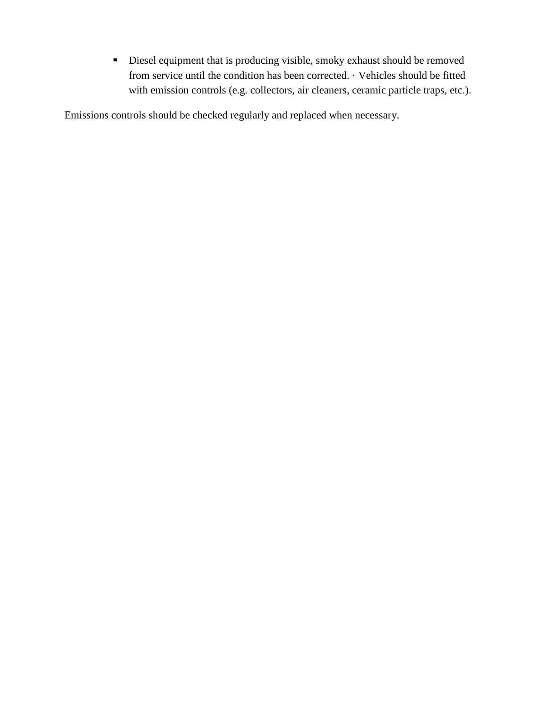Diesel equipment that is producing visible, smoky exhaust should be removed from service until the condition has been corrected. · Vehicles should be fitted with emission controls (e.g. collectors, air cleaners, ceramic particle traps, etc.).

Emissions controls should be checked regularly and replaced when necessary.